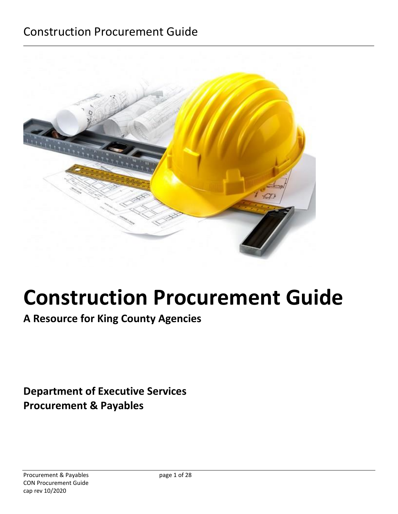

# **Construction Procurement Guide**

**A Resource for King County Agencies**

**Department of Executive Services Procurement & Payables**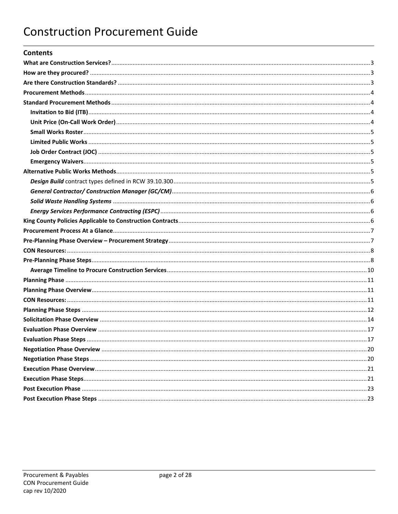### **Contents**

| 20 |
|----|
|    |
|    |
|    |
|    |
|    |
|    |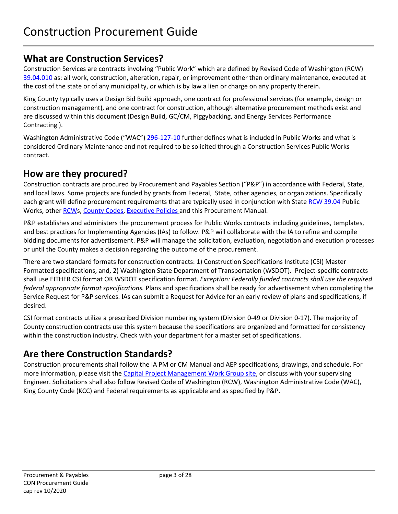# <span id="page-2-0"></span>**What are Construction Services?**

Construction Services are contracts involving "Public Work" which are defined by Revised Code of Washington (RCW) [39.04.010](https://apps.leg.wa.gov/rcw/default.aspx?cite=39.04.010) as: all work, construction, alteration, repair, or improvement other than ordinary maintenance, executed at the cost of the state or of any municipality, or which is by law a lien or charge on any property therein.

King County typically uses a Design Bid Build approach, one contract for professional services (for example, design or construction management), and one contract for construction, although alternative procurement methods exist and are discussed within this document (Design Build, GC/CM, Piggybacking, and Energy Services Performance Contracting ).

Washington Administrative Code ("WAC") [296-127-10](https://app.leg.wa.gov/wac/default.aspx?cite=296-127-010) further defines what is included in Public Works and what is considered Ordinary Maintenance and not required to be solicited through a Construction Services Public Works contract.

# <span id="page-2-1"></span>**How are they procured?**

Construction contracts are procured by Procurement and Payables Section ("P&P") in accordance with Federal, State, and local laws. Some projects are funded by grants from Federal, State, other agencies, or organizations. Specifically each grant will define procurement requirements that are typically used in conjunction with Stat[e RCW 39.04](https://app.leg.wa.gov/rcw/default.aspx?cite=39.04) Public Works, other [RCWs](http://apps.leg.wa.gov/rcw/supdefault.aspx), [County Codes,](http://www.kingcounty.gov/council/legislation/kc_code.aspx) [Executive](http://www.kingcounty.gov/operations/policies/masterlist.aspx#contracting) Policies and this Procurement Manual.

P&P establishes and administers the procurement process for Public Works contracts including guidelines, templates, and best practices for Implementing Agencies (IAs) to follow. P&P will collaborate with the IA to refine and compile bidding documents for advertisement. P&P will manage the solicitation, evaluation, negotiation and execution processes or until the County makes a decision regarding the outcome of the procurement.

There are two standard formats for construction contracts: 1) Construction Specifications Institute (CSI) Master Formatted specifications, and, 2) Washington State Department of Transportation (WSDOT). Project-specific contracts shall use EITHER CSI format OR WSDOT specification format. *Exception: Federally funded contracts shall use the required federal appropriate format specifications.* Plans and specifications shall be ready for advertisement when completing the Service Request for P&P services. IAs can submit a Request for Advice for an early review of plans and specifications, if desired.

CSI format contracts utilize a prescribed Division numbering system (Division 0-49 or Division 0-17). The majority of County construction contracts use this system because the specifications are organized and formatted for consistency within the construction industry. Check with your department for a master set of specifications.

# <span id="page-2-2"></span>**Are there Construction Standards?**

Construction procurements shall follow the IA PM or CM Manual and AEP specifications, drawings, and schedule. For more information, please visit the [Capital Project Management Work Group site,](https://kc1.sharepoint.com/sites/DNRP/projects/cpm/pages/pm-tools.aspx) or discuss with your supervising Engineer. Solicitations shall also follow Revised Code of Washington (RCW), Washington Administrative Code (WAC), King County Code (KCC) and Federal requirements as applicable and as specified by P&P.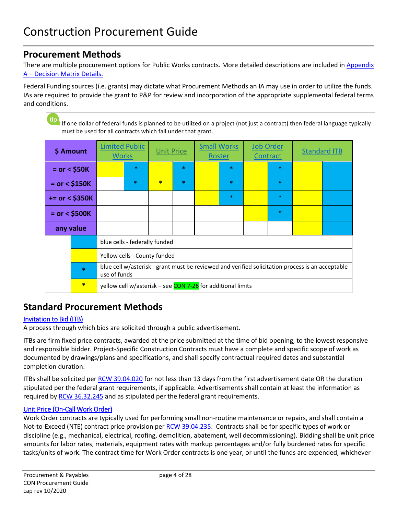# <span id="page-3-0"></span>**Procurement Methods**

There are multiple procurement options for Public Works contracts. More detailed descriptions are included in [Appendix](#page-24-0)  [A – Decision Matrix Details.](#page-24-0)

Federal Funding sources (i.e. grants) may dictate what Procurement Methods an IA may use in order to utilize the funds. IAs are required to provide the grant to P&P for review and incorporation of the appropriate supplemental federal terms and conditions.

tip If one dollar of federal funds is planned to be utilized on a project (not just a contract) then federal language typically must be used for all contracts which fall under that grant.

| \$ Amount         |        | <b>Limited Public</b><br><b>Works</b>                                                                            |                                                             | <b>Unit Price</b> |        | <b>Small Works</b><br>Roster |        | <b>Job Order</b><br>Contract |  | <b>Standard ITB</b> |
|-------------------|--------|------------------------------------------------------------------------------------------------------------------|-------------------------------------------------------------|-------------------|--------|------------------------------|--------|------------------------------|--|---------------------|
| $=$ or $<$ \$50K  |        |                                                                                                                  | ∗                                                           |                   | $\ast$ |                              | $\ast$ | ∗                            |  |                     |
| $=$ or < \$150K   |        |                                                                                                                  | $\ast$                                                      | $\ast$            | $\ast$ |                              | $\ast$ | $\ast$                       |  |                     |
| $+= or < $350K$   |        |                                                                                                                  |                                                             |                   |        |                              | $\ast$ | $\ast$                       |  |                     |
| $=$ or $<$ \$500K |        |                                                                                                                  |                                                             |                   |        |                              |        | $\ast$                       |  |                     |
| any value         |        |                                                                                                                  |                                                             |                   |        |                              |        |                              |  |                     |
|                   |        |                                                                                                                  | blue cells - federally funded                               |                   |        |                              |        |                              |  |                     |
|                   |        | Yellow cells - County funded                                                                                     |                                                             |                   |        |                              |        |                              |  |                     |
|                   | $\ast$ | blue cell w/asterisk - grant must be reviewed and verified solicitation process is an acceptable<br>use of funds |                                                             |                   |        |                              |        |                              |  |                     |
|                   | $\ast$ |                                                                                                                  | yellow cell w/asterisk - see CON 7-26 for additional limits |                   |        |                              |        |                              |  |                     |

# <span id="page-3-1"></span>**Standard Procurement Methods**

### <span id="page-3-2"></span>[Invitation to Bid](#page-24-1) (ITB)

A process through which bids are solicited through a public advertisement.

ITBs are firm fixed price contracts, awarded at the price submitted at the time of bid opening, to the lowest responsive and responsible bidder. Project-Specific Construction Contracts must have a complete and specific scope of work as documented by drawings/plans and specifications, and shall specify contractual required dates and substantial completion duration.

ITBs shall be solicited per [RCW 39.04.020](https://app.leg.wa.gov/RCW/default.aspx?cite=39.04.020) for not less than 13 days from the first advertisement date OR the duration stipulated per the federal grant requirements, if applicable. Advertisements shall contain at least the information as required by [RCW 36.32.245](https://app.leg.wa.gov/RCW/default.aspx?cite=36.32.245) and as stipulated per the federal grant requirements.

### <span id="page-3-3"></span>[Unit Price \(On-Call Work Order\)](#page-25-1)

Work Order contracts are typically used for performing small non-routine maintenance or repairs, and shall contain a Not-to-Exceed (NTE) contract price provision per [RCW 39.04.235.](https://app.leg.wa.gov/RCW/default.aspx?cite=39.04.235) Contracts shall be for specific types of work or discipline (e.g., mechanical, electrical, roofing, demolition, abatement, well decommissioning). Bidding shall be unit price amounts for labor rates, materials, equipment rates with markup percentages and/or fully burdened rates for specific tasks/units of work. The contract time for Work Order contracts is one year, or until the funds are expended, whichever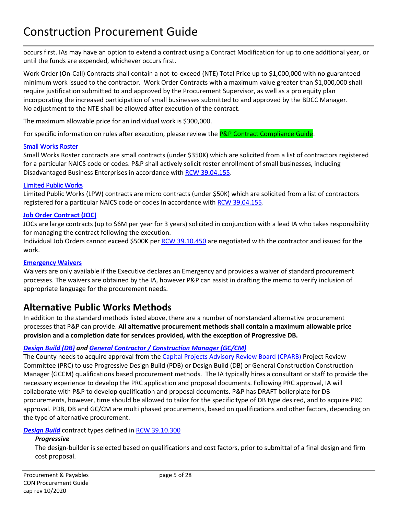occurs first. IAs may have an option to extend a contract using a Contract Modification for up to one additional year, or until the funds are expended, whichever occurs first.

Work Order (On-Call) Contracts shall contain a not-to-exceed (NTE) Total Price up to \$1,000,000 with no guaranteed minimum work issued to the contractor. Work Order Contracts with a maximum value greater than \$1,000,000 shall require justification submitted to and approved by the Procurement Supervisor, as well as a pro equity plan incorporating the increased participation of small businesses submitted to and approved by the BDCC Manager. No adjustment to the NTE shall be allowed after execution of the contract.

The maximum allowable price for an individual work is \$300,000.

For specific information on rules after execution, please review the P&P Contract Compliance Guide.

### <span id="page-4-0"></span>[Small Works Roster](#page-25-0)

Small Works Roster contracts are small contracts (under \$350K) which are solicited from a list of contractors registered for a particular NAICS code or codes. P&P shall actively solicit roster enrollment of small businesses, including Disadvantaged Business Enterprises in accordance with [RCW 39.04.155.](https://apps.leg.wa.gov/RCW/default.aspx?cite=39.04.155)

### <span id="page-4-1"></span>[Limited Public Works](#page-24-2)

Limited Public Works (LPW) contracts are micro contracts (under \$50K) which are solicited from a list of contractors registered for a particular NAICS code or codes In accordance wit[h RCW 39.04.155.](https://apps.leg.wa.gov/RCW/default.aspx?cite=39.04.155)

### <span id="page-4-2"></span>**[Job Order Contract \(JOC\)](#page-26-0)**

JOCs are large contracts (up to \$6M per year for 3 years) solicited in conjunction with a lead IA who takes responsibility for managing the contract following the execution.

Individual Job Orders cannot exceed \$500K pe[r RCW 39.10.450](https://app.leg.wa.gov/RCW/default.aspx?cite=39.10.450) are negotiated with the contractor and issued for the work.

### <span id="page-4-3"></span>**Emergenc[y Waivers](#page-27-0)**

Waivers are only available if the Executive declares an Emergency and provides a waiver of standard procurement processes. The waivers are obtained by the IA, however P&P can assist in drafting the memo to verify inclusion of appropriate language for the procurement needs.

# <span id="page-4-4"></span>**Alternative Public Works Methods**

In addition to the standard methods listed above, there are a number of nonstandard alternative procurement processes that P&P can provide. **All alternative procurement methods shall contain a maximum allowable price provision and a completion date for services provided, with the exception of Progressive DB.**

### *Design Build (DB) and General Contractor [/ Construction Manager \(GC/CM\)](#page-26-1)*

The County needs to acquire approval from the [Capital Projects Advisory Review Board \(CPARB\)](https://des.wa.gov/about/boards-committees/capital-projects-advisory-review-board) Project Review Committee (PRC) to use Progressive Design Build (PDB) or Design Build (DB) or General Construction Construction Manager (GCCM) qualifications based procurement methods. The IA typically hires a consultant or staff to provide the necessary experience to develop the PRC application and proposal documents. Following PRC approval, IA will collaborate with P&P to develop qualification and proposal documents. P&P has DRAFT boilerplate for DB procurements, however, time should be allowed to tailor for the specific type of DB type desired, and to acquire PRC approval. PDB, DB and GC/CM are multi phased procurements, based on qualifications and other factors, depending on the type of alternative procurement.

### <span id="page-4-5"></span>**[Design Build](#page-26-1)** contract types defined in [RCW 39.10.300](https://apps.leg.wa.gov/rCW/default.aspx?cite=39.10.300)

### *Progressive*

The design-builder is selected based on qualifications and cost factors, prior to submittal of a final design and firm cost proposal.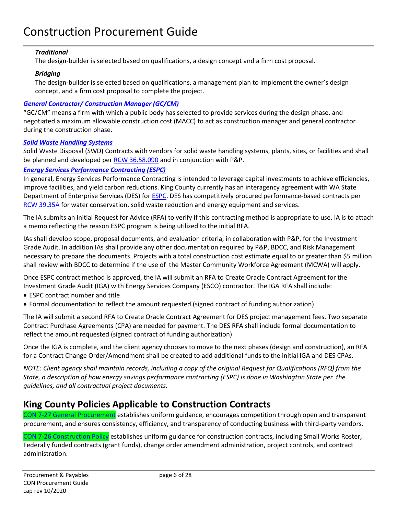### *Traditional*

The design-builder is selected based on qualifications, a design concept and a firm cost proposal.

### *Bridging*

The design-builder is selected based on qualifications, a management plan to implement the owner's design concept, and a firm cost proposal to complete the project.

### <span id="page-5-0"></span>*[General Contractor/ Construction Manager \(GC/CM\)](#page-27-1)*

"GC/CM" means a firm with which a public body has selected to provide services during the design phase, and negotiated a maximum allowable construction cost (MACC) to act as construction manager and general contractor during the construction phase.

### <span id="page-5-1"></span>*Solid Waste Handling Systems*

Solid Waste Disposal (SWD) Contracts with vendors for solid waste handling systems, plants, sites, or facilities and shall be planned and developed per [RCW 36.58.090](https://app.leg.wa.gov/rcw/default.aspx?cite=36.58&full=true#36.58.090) and in conjunction with P&P.

### <span id="page-5-2"></span>*[Energy Services Performance Contracting](#page-27-2) (ESPC)*

In general, Energy Services Performance Contracting is intended to leverage capital investments to achieve efficiencies, improve facilities, and yield carbon reductions. King County currently has an interagency agreement with WA State Department of Enterprise Services (DES) for **ESPC**. DES has competitively procured performance-based contracts per [RCW 39.35A](https://app.leg.wa.gov/RCW/default.aspx?cite=39.35A) for water conservation, solid waste reduction and energy equipment and services.

The IA submits an initial Request for Advice (RFA) to verify if this contracting method is appropriate to use. IA is to attach a memo reflecting the reason ESPC program is being utilized to the initial RFA.

IAs shall develop scope, proposal documents, and evaluation criteria, in collaboration with P&P, for the Investment Grade Audit. In addition IAs shall provide any other documentation required by P&P, BDCC, and Risk Management necessary to prepare the documents. Projects with a total construction cost estimate equal to or greater than \$5 million shall review with BDCC to determine if the use of the Master Community Workforce Agreement (MCWA) will apply.

Once ESPC contract method is approved, the IA will submit an RFA to Create Oracle Contract Agreement for the Investment Grade Audit (IGA) with Energy Services Company (ESCO) contractor. The IGA RFA shall include:

- ESPC contract number and title
- Formal documentation to reflect the amount requested (signed contract of funding authorization)

The IA will submit a second RFA to Create Oracle Contract Agreement for DES project management fees. Two separate Contract Purchase Agreements (CPA) are needed for payment. The DES RFA shall include formal documentation to reflect the amount requested (signed contract of funding authorization)

Once the IGA is complete, and the client agency chooses to move to the next phases (design and construction), an RFA for a Contract Change Order/Amendment shall be created to add additional funds to the initial IGA and DES CPAs.

*NOTE: Client agency shall maintain records, including a copy of the original Request for Qualifications (RFQ) from the State, a description of how energy savings performance contracting (ESPC) is done in Washington State per the guidelines, and all contractual project documents.*

# <span id="page-5-3"></span>**King County Policies Applicable to Construction Contracts**

CON 7-27 General Procurement establishes uniform guidance, encourages competition through open and transparent procurement, and ensures consistency, efficiency, and transparency of conducting business with third-party vendors.

CON 7-26 Construction Policy establishes uniform guidance for construction contracts, including Small Works Roster, Federally funded contracts (grant funds), change order amendment administration, project controls, and contract administration.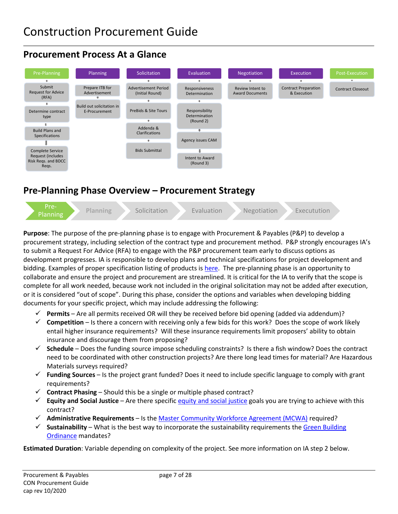# <span id="page-6-0"></span>**Procurement Process At a Glance**



# <span id="page-6-1"></span>**Pre-Planning Phase Overview – Procurement Strategy**



**Purpose**: The purpose of the pre-planning phase is to engage with Procurement & Payables (P&P) to develop a procurement strategy, including selection of the contract type and procurement method. P&P strongly encourages IA's to submit a Request For Advice (RFA) to engage with the P&P procurement team early to discuss options as development progresses. IA is responsible to develop plans and technical specifications for project development and bidding. Examples of proper specification listing of products is [here.](https://kc1.sharepoint.com/teams/FBOD/CC/constr/SiteAssets/HowToCON/Home/TMP-CON-WEB-Spec-GL-Product-Listing.pdf?csf=1&e=BSoddw) The pre-planning phase is an opportunity to collaborate and ensure the project and procurement are streamlined. It is critical for the IA to verify that the scope is complete for all work needed, because work not included in the original solicitation may not be added after execution, or it is considered "out of scope". During this phase, consider the options and variables when developing bidding documents for your specific project, which may include addressing the following:

- **Permits** Are all permits received OR will they be received before bid opening (added via addendum)?
- **Competition** Is there a concern with receiving only a few bids for this work? Does the scope of work likely entail higher insurance requirements? Will these insurance requirements limit proposers' ability to obtain insurance and discourage them from proposing?
- **Schedule** Does the funding source impose scheduling constraints? Is there a fish window? Does the contract need to be coordinated with other construction projects? Are there long lead times for material? Are Hazardous Materials surveys required?
- **Funding Sources**  Is the project grant funded? Does it need to include specific language to comply with grant requirements?
- $\checkmark$  **Contract Phasing** Should this be a single or multiple phased contract?
- $\checkmark$  Equity and Social Justice Are there specific [equity and social justice](https://kingcounty.gov/depts/dnrp/solid-waste/programs/green-building/county-green-building/equity-social-justice.aspx) goals you are trying to achieve with this contract?
- **Administrative Requirements**  Is the [Master Community Workforce Agreement \(MCWA\)](https://www.kingcounty.gov/depts/finance-business-operations/business-development-contract-compliance/programs/PriorityHire/CWA.aspx) required?
- $\checkmark$  **Sustainability** What is the best way to incorporate the sustainability requirements the Green Building [Ordinance](https://kingcounty.gov/%7E/media/depts/dnrp/solid-waste/green-building/documents/green-building-ordinance-2013.ashx?la=en) mandates?

**Estimated Duration**: Variable depending on complexity of the project. See more information on IA step 2 below.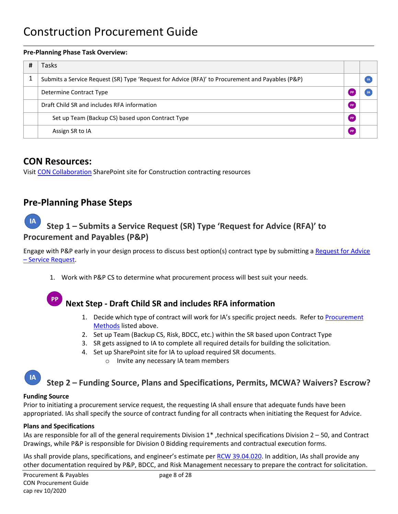### **Pre-Planning Phase Task Overview:**

| # | Tasks                                                                                            |                 |  |
|---|--------------------------------------------------------------------------------------------------|-----------------|--|
|   | Submits a Service Request (SR) Type 'Request for Advice (RFA)' to Procurement and Payables (P&P) |                 |  |
|   | Determine Contract Type                                                                          |                 |  |
|   | Draft Child SR and includes RFA information                                                      | PP <sub>1</sub> |  |
|   | Set up Team (Backup CS) based upon Contract Type                                                 | / PP,           |  |
|   | Assign SR to IA                                                                                  | PP,             |  |

# <span id="page-7-0"></span>**CON Resources:**

Visit [CON Collaboration](https://kc1.sharepoint.com/teams/FBOD/CC/constr/SitePages/Home.aspx) SharePoint site for Construction contracting resources

# <span id="page-7-1"></span>**Pre-Planning Phase Steps**

### **IA Step 1 – Submits a Service Request (SR) Type 'Request for Advice (RFA)' to Procurement and Payables (P&P)**

Engage with P&P early in your design process to discuss best option(s) contract type by submitting a [Request for Advice](https://kingcounty.gov/depts/finance-business-operations/procurement/for-government/service-requests.aspx)  – [Service Request.](https://kingcounty.gov/depts/finance-business-operations/procurement/for-government/service-requests.aspx)

1. Work with P&P CS to determine what procurement process will best suit your needs.

# **Next Step - Draft Child SR and includes RFA information**

- 1. Decide which type of contract will work for IA's specific project needs. Refer to [Procurement](#page-3-0)  [Methods](#page-3-0) listed above.
- 2. Set up Team (Backup CS, Risk, BDCC, etc.) within the SR based upon Contract Type
- 3. SR gets assigned to IA to complete all required details for building the solicitation.
- 4. Set up SharePoint site for IA to upload required SR documents.
	- o Invite any necessary IA team members

#### **IA Step 2 – Funding Source, Plans and Specifications, Permits, MCWA? Waivers? Escrow?**

#### **Funding Source**

Prior to initiating a procurement service request, the requesting IA shall ensure that adequate funds have been appropriated. IAs shall specify the source of contract funding for all contracts when initiating the Request for Advice.

### **Plans and Specifications**

IAs are responsible for all of the general requirements Division 1\* ,technical specifications Division 2 – 50, and Contract Drawings, while P&P is responsible for Division 0 Bidding requirements and contractual execution forms.

IAs shall provide plans, specifications, and engineer's estimate per [RCW 39.04.020.](https://app.leg.wa.gov/rcw/default.aspx?cite=39.04.020) In addition, IAs shall provide any other documentation required by P&P, BDCC, and Risk Management necessary to prepare the contract for solicitation.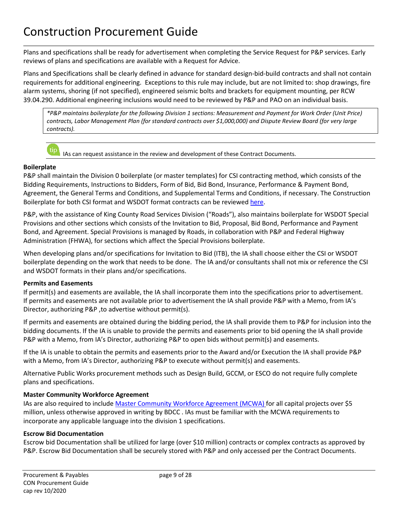Plans and specifications shall be ready for advertisement when completing the Service Request for P&P services. Early reviews of plans and specifications are available with a Request for Advice.

Plans and Specifications shall be clearly defined in advance for standard design-bid-build contracts and shall not contain requirements for additional engineering. Exceptions to this rule may include, but are not limited to: shop drawings, fire alarm systems, shoring (if not specified), engineered seismic bolts and brackets for equipment mounting, [per RCW](https://app.leg.wa.gov/rcw/default.aspx?cite=39.04.290)  [39.04.290.](https://app.leg.wa.gov/rcw/default.aspx?cite=39.04.290) Additional engineering inclusions would need to be reviewed by P&P and PAO on an individual basis.

*\*P&P maintains boilerplate for the following Division 1 sections: Measurement and Payment for Work Order (Unit Price) contracts, Labor Management Plan (for standard contracts over \$1,000,000) and Dispute Review Board (for very large contracts).* 

tip IAs can request assistance in the review and development of these Contract Documents.

### **Boilerplate**

P&P shall maintain the Division 0 boilerplate (or master templates) for CSI contracting method, which consists of the Bidding Requirements, Instructions to Bidders, Form of Bid, Bid Bond, Insurance, Performance & Payment Bond, Agreement, the General Terms and Conditions, and Supplemental Terms and Conditions, if necessary. The Construction Boilerplate for both CSI format and WSDOT format contracts can be reviewed [here.](https://kc1.sharepoint.com/teams/FBOD/CC/constr/Contracting%20Documents/Forms/AllItems.aspx?InitialTabId=Ribbon%2ELibrary&VisibilityContext=WSSTabPersistence)

P&P, with the assistance of King County Road Services Division ("Roads"), also maintains boilerplate for WSDOT Special Provisions and other sections which consists of the Invitation to Bid, Proposal, Bid Bond, Performance and Payment Bond, and Agreement. Special Provisions is managed by Roads, in collaboration with P&P and Federal Highway Administration (FHWA), for sections which affect the Special Provisions boilerplate.

When developing plans and/or specifications for Invitation to Bid (ITB), the IA shall choose either the CSI or WSDOT boilerplate depending on the work that needs to be done. The IA and/or consultants shall not mix or reference the CSI and WSDOT formats in their plans and/or specifications.

### **Permits and Easements**

If permit(s) and easements are available, the IA shall incorporate them into the specifications prior to advertisement. If permits and easements are not available prior to advertisement the IA shall provide P&P with a Memo, from IA's Director, authorizing P&P ,to advertise without permit(s).

If permits and easements are obtained during the bidding period, the IA shall provide them to P&P for inclusion into the bidding documents. If the IA is unable to provide the permits and easements prior to bid opening the IA shall provide P&P with a Memo, from IA's Director, authorizing P&P to open bids without permit(s) and easements.

If the IA is unable to obtain the permits and easements prior to the Award and/or Execution the IA shall provide P&P with a Memo, from IA's Director, authorizing P&P to execute without permit(s) and easements.

Alternative Public Works procurement methods such as Design Build, GCCM, or ESCO do not require fully complete plans and specifications.

### **Master Community Workforce Agreement**

IAs are also required to include [Master Community Workforce Agreement \(MCWA\)](https://www.kingcounty.gov/depts/finance-business-operations/business-development-contract-compliance/programs/PriorityHire/CWA.aspx) for all capital projects over \$5 million, unless otherwise approved in writing by BDCC . IAs must be familiar with the MCWA requirements to incorporate any applicable language into the division 1 specifications.

### **Escrow Bid Documentation**

Escrow bid Documentation shall be utilized for large (over \$10 million) contracts or complex contracts as approved by P&P. Escrow Bid Documentation shall be securely stored with P&P and only accessed per the Contract Documents.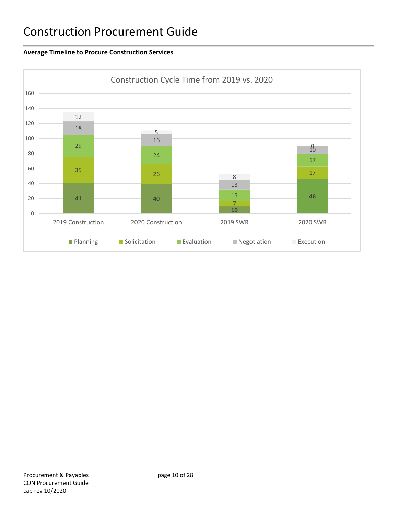### <span id="page-9-0"></span>**Average Timeline to Procure Construction Services**

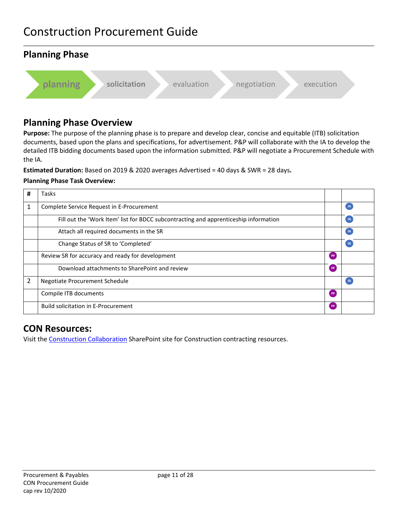# <span id="page-10-0"></span>**Planning Phase planning** solicitation evaluation negotiation execution

# <span id="page-10-1"></span>**Planning Phase Overview**

**Purpose:** The purpose of the planning phase is to prepare and develop clear, concise and equitable (ITB) solicitation documents, based upon the plans and specifications, for advertisement. P&P will collaborate with the IA to develop the detailed ITB bidding documents based upon the information submitted. P&P will negotiate a Procurement Schedule with the IA.

**Estimated Duration:** Based on 2019 & 2020 averages Advertised = 40 days & SWR = 28 days**.**

### **Planning Phase Task Overview:**

| # | Tasks                                                                                |    |                |
|---|--------------------------------------------------------------------------------------|----|----------------|
|   | Complete Service Request in E-Procurement                                            |    | $\overline{A}$ |
|   | Fill out the 'Work Item' list for BDCC subcontracting and apprenticeship information |    | -IA            |
|   | Attach all required documents in the SR                                              |    |                |
|   | Change Status of SR to 'Completed'                                                   |    | -IA            |
|   | Review SR for accuracy and ready for development                                     | PP |                |
|   | Download attachments to SharePoint and review                                        | PP |                |
| 2 | Negotiate Procurement Schedule                                                       |    | -IA            |
|   | Compile ITB documents                                                                | PP |                |
|   | Build solicitation in E-Procurement                                                  | PP |                |

# <span id="page-10-2"></span>**CON Resources:**

Visit the [Construction Collaboration](https://kc1.sharepoint.com/teams/FBOD/CC/constr/SitePages/Home.aspx) SharePoint site for Construction contracting resources.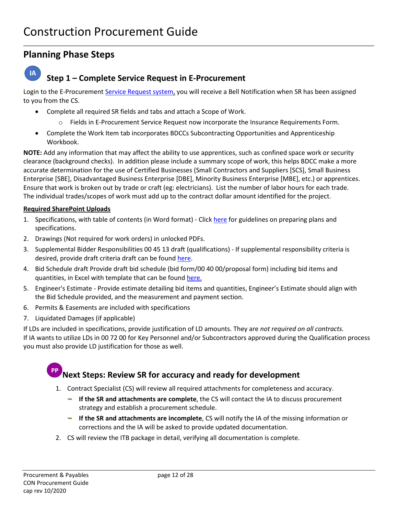# <span id="page-11-0"></span>**Planning Phase Steps**

#### $IA$ **Step 1 – Complete Service Request in E-Procurement**

Login to the E-Procurement [Service Request system,](https://login-epvh-saasfaprod1.fa.ocs.oraclecloud.com/oam/server/obrareq.cgi?encquery%3D88zh7JvsrhlXrPK1eypzs6r0jrGLFwOxNEDx8ar7nUQekv1GKxJpn4q5ix3UeRgbWZW2E6Qdb4g5LUAGYiuC6FPWLzEvtnHnEGEU4VC%2BwznF1Qnmxvaq7IoCZNAKZjS49ZwdGBePbe32CsCC9u7CagDamH2MVOnS3NuThQBhAFbuj5whjJFGfJWFGdWjt7mWgYcDzjOd2wfsWlE4iCHhk%2Bm1oYNWQ3SZwWmzCSdVGr972onPhHteX%2FIL655tXpXNixx4yLlhXAQaBLfecOvp9Si32lNMc7c4fCZ74qgaglRp%2B6oRVt2YBhcu%2BMF9DUODGjZthy4K6AbmmwC2QBoZrZlpQ74ARQ8t%2B4nZ4kmbj0gl3%2FkU5pS2o5yJctorqzMdfxWOMlNsyDBLW4ZY9JlfCIa30kTLLgo8nLqEsBrUO1j4aOk%2BazH7eAc6%2BGtwZ1DmA%2Fv5iJA2CRaof%2BHwfHpyZ6hnKCoZz7pxIoIxh5r5ZgF%2BK4vPZM%2BK3mdRQHB79A7Zu2gtHvtvI4HFeFjSYWCeOQ%3D%3D%20agentid%3DOraFusionApp_11AG%20ver%3D1%20crmethod%3D2%26cksum%3D666cdbe24c56bf55ade53c3ed40fee11298d5d2f&ECID-Context=1.005hlWdN_7gFS8SLqE_AiY00055j0001Qe%3BkXjE) you will receive a Bell Notification when SR has been assigned to you from the CS.

- Complete all required SR fields and tabs and attach a Scope of Work.
	- o Fields in E-Procurement Service Request now incorporate the Insurance Requirements Form.
- Complete the Work Item tab incorporates BDCCs Subcontracting Opportunities and Apprenticeship Workbook.

**NOTE:** Add any information that may affect the ability to use apprentices, such as confined space work or security clearance (background checks). In addition please include a summary scope of work, this helps BDCC make a more accurate determination for the use of Certified Businesses (Small Contractors and Suppliers [SCS], Small Business Enterprise [SBE], Disadvantaged Business Enterprise [DBE], Minority Business Enterprise [MBE], etc.) or apprentices. Ensure that work is broken out by trade or craft (eg: electricians). List the number of labor hours for each trade. The individual trades/scopes of work must add up to the contract dollar amount identified for the project.

### **Required SharePoint Uploads**

- 1. Specifications, with table of contents (in Word format) Clic[k here](https://kc1.sharepoint.com/teams/FBOD/CC/constr/SiteAssets/HowToCON/Home/TMP-CON-WEB-Spec-GL-Product-Listing.pdf?csf=1&e=98bfe7bc2e1142d59a4be2382e84af17) for guidelines on preparing plans and specifications.
- 2. Drawings (Not required for work orders) in unlocked PDFs.
- 3. Supplemental Bidder Responsibilities 00 45 13 draft (qualifications) If supplemental responsibility criteria is desired, provide draft criteria draft can be found [here.](https://kc1.sharepoint.com/teams/FBOD/CC/constr/Contracting%20Documents/Forms/AllItems.aspx)
- 4. Bid Schedule draft Provide draft bid schedule (bid form/00 40 00/proposal form) including bid items and quantities, in Excel with template that can be foun[d here.](https://kc1.sharepoint.com/teams/FBOD/CC/constr/Contracting%20Documents/Forms/AllItems.aspx)
- 5. Engineer's Estimate Provide estimate detailing bid items and quantities, Engineer's Estimate should align with the Bid Schedule provided, and the measurement and payment section.
- 6. Permits & Easements are included with specifications
- 7. Liquidated Damages (if applicable)

If LDs are included in specifications, provide justification of LD amounts. They are *not required on all contracts.* If IA wants to utilize LDs in 00 72 00 for Key Personnel and/or Subcontractors approved during the Qualification process you must also provide LD justification for those as well.

# **Next Steps: Review SR for accuracy and ready for development**

- 1. Contract Specialist (CS) will review all required attachments for completeness and accuracy.
	- **If the SR and attachments are complete**, the CS will contact the IA to discuss procurement strategy and establish a procurement schedule.
	- **If the SR and attachments are incomplete**, CS will notify the IA of the missing information or corrections and the IA will be asked to provide updated documentation.
- 2. CS will review the ITB package in detail, verifying all documentation is complete.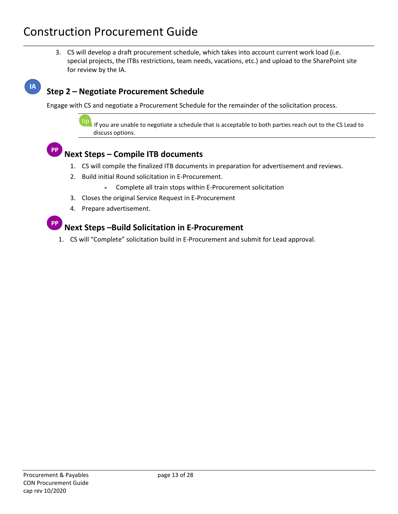3. CS will develop a draft procurement schedule, which takes into account current work load (i.e. special projects, the ITBs restrictions, team needs, vacations, etc.) and upload to the SharePoint site for review by the IA.

# IA

**PP** 

# **Step 2 – Negotiate Procurement Schedule**

Engage with CS and negotiate a Procurement Schedule for the remainder of the solicitation process.

If you are unable to negotiate a schedule that is acceptable to both parties reach out to the CS Lead to discuss options.

# **Next Steps – Compile ITB documents**

- 1. CS will compile the finalized ITB documents in preparation for advertisement and reviews.
- 2. Build initial Round solicitation in E-Procurement.
	- Complete all train stops within E-Procurement solicitation
- 3. Closes the original Service Request in E-Procurement
- 4. Prepare advertisement.

# **Next Steps –Build Solicitation in E-Procurement**

1. CS will "Complete" solicitation build in E-Procurement and submit for Lead approval.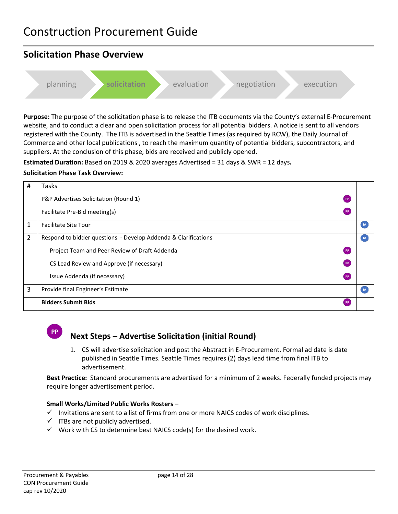# <span id="page-13-0"></span>**Solicitation Phase Overview**

planning **solicitation** evaluation negotiation execution

**Purpose:** The purpose of the solicitation phase is to release the ITB documents via the County's external E-Procurement website, and to conduct a clear and open solicitation process for all potential bidders. A notice is sent to all vendors registered with the County. The ITB is advertised in the Seattle Times (as required by RCW), the Daily Journal of Commerce and other local publications , to reach the maximum quantity of potential bidders, subcontractors, and suppliers. At the conclusion of this phase, bids are received and publicly opened.

**Estimated Duration:** Based on 2019 & 2020 averages Advertised = 31 days & SWR = 12 days**.** 

# **Solicitation Phase Task Overview:**

| # | Tasks                                                          |           |     |
|---|----------------------------------------------------------------|-----------|-----|
|   | P&P Advertises Solicitation (Round 1)                          | [ PP      |     |
|   | Facilitate Pre-Bid meeting(s)                                  | PP        |     |
| 1 | <b>Facilitate Site Tour</b>                                    |           | IA  |
| 2 | Respond to bidder questions - Develop Addenda & Clarifications |           | -IA |
|   | Project Team and Peer Review of Draft Addenda                  | PP        |     |
|   | CS Lead Review and Approve (if necessary)                      | [ PP      |     |
|   | Issue Addenda (if necessary)                                   | [ PP      |     |
| 3 | Provide final Engineer's Estimate                              |           |     |
|   | <b>Bidders Submit Bids</b>                                     | <b>PP</b> |     |



# **Next Steps – Advertise Solicitation (initial Round)**

1. CS will advertise solicitation and post the Abstract in E-Procurement. Formal ad date is date published in Seattle Times. Seattle Times requires (2) days lead time from final ITB to advertisement.

**Best Practice:** Standard procurements are advertised for a minimum of 2 weeks. Federally funded projects may require longer advertisement period.

### **Small Works/Limited Public Works Rosters –**

- $\checkmark$  Invitations are sent to a list of firms from one or more NAICS codes of work disciplines.
- $\checkmark$  ITBs are not publicly advertised.
- $\checkmark$  Work with CS to determine best NAICS code(s) for the desired work.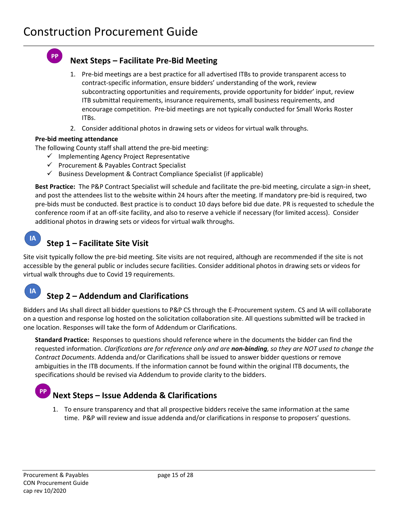# **Next Steps – Facilitate Pre-Bid Meeting**

- 1. Pre-bid meetings are a best practice for all advertised ITBs to provide transparent access to contract-specific information, ensure bidders' understanding of the work, review subcontracting opportunities and requirements, provide opportunity for bidder' input, review ITB submittal requirements, insurance requirements, small business requirements, and encourage competition. Pre-bid meetings are not typically conducted for Small Works Roster ITBs.
- 2. Consider additional photos in drawing sets or videos for virtual walk throughs.

### **Pre-bid meeting attendance**

**PP** 

The following County staff shall attend the pre-bid meeting:

- $\checkmark$  Implementing Agency Project Representative
- $\checkmark$  Procurement & Payables Contract Specialist
- $\checkmark$  Business Development & Contract Compliance Specialist (if applicable)

**Best Practice:** The P&P Contract Specialist will schedule and facilitate the pre-bid meeting, circulate a sign-in sheet, and post the attendees list to the website within 24 hours after the meeting. If mandatory pre-bid is required, two pre-bids must be conducted. Best practice is to conduct 10 days before bid due date. PR is requested to schedule the conference room if at an off-site facility, and also to reserve a vehicle if necessary (for limited access). Consider additional photos in drawing sets or videos for virtual walk throughs.

#### **IA Step 1 – Facilitate Site Visit**

Site visit typically follow the pre-bid meeting. Site visits are not required, although are recommended if the site is not accessible by the general public or includes secure facilities. Consider additional photos in drawing sets or videos for virtual walk throughs due to Covid 19 requirements.

#### **IA Step 2 – Addendum and Clarifications**

Bidders and IAs shall direct all bidder questions to P&P CS through the E-Procurement system. CS and IA will collaborate on a question and response log hosted on the solicitation collaboration site. All questions submitted will be tracked in one location. Responses will take the form of Addendum or Clarifications.

**Standard Practice:** Responses to questions should reference where in the documents the bidder can find the requested information. *Clarifications are for reference only and are non-binding, so they are NOT used to change the Contract Documents*. Addenda and/or Clarifications shall be issued to answer bidder questions or remove ambiguities in the ITB documents. If the information cannot be found within the original ITB documents, the specifications should be revised via Addendum to provide clarity to the bidders.

# **Next Steps – Issue Addenda & Clarifications**

1. To ensure transparency and that all prospective bidders receive the same information at the same time. P&P will review and issue addenda and/or clarifications in response to proposers' questions.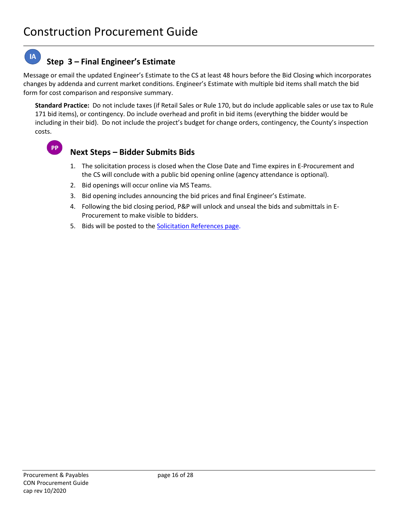#### **IA Step 3 – Final Engineer's Estimate**

Message or email the updated Engineer's Estimate to the CS at least 48 hours before the Bid Closing which incorporates changes by addenda and current market conditions. Engineer's Estimate with multiple bid items shall match the bid form for cost comparison and responsive summary.

**Standard Practice:** Do not include taxes (if Retail Sales or Rule 170, but do include applicable sales or use tax to Rule 171 bid items), or contingency. Do include overhead and profit in bid items (everything the bidder would be including in their bid). Do not include the project's budget for change orders, contingency, the County's inspection costs.



# **Next Steps – Bidder Submits Bids**

- 1. The solicitation process is closed when the Close Date and Time expires in E-Procurement and the CS will conclude with a public bid opening online (agency attendance is optional).
- 2. Bid openings will occur online via MS Teams.
- 3. Bid opening includes announcing the bid prices and final Engineer's Estimate.
- 4. Following the bid closing period, P&P will unlock and unseal the bids and submittals in E-Procurement to make visible to bidders.
- 5. Bids will be posted to the [Solicitation References page.](https://kingcounty.gov/depts/finance-business-operations/procurement/for-business/solicitation-resources.aspx)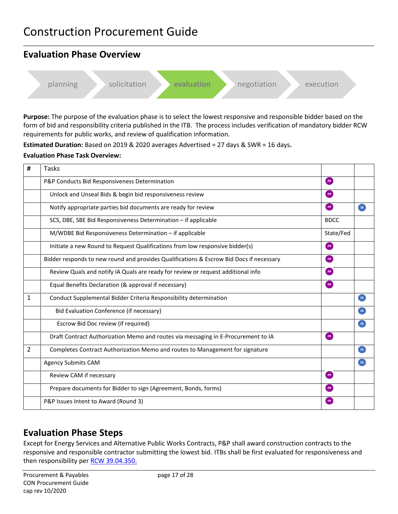<span id="page-16-0"></span>

**Purpose:** The purpose of the evaluation phase is to select the lowest responsive and responsible bidder based on the form of bid and responsibility criteria published in the ITB. The process includes verification of mandatory bidder RCW requirements for public works, and review of qualification information.

**Estimated Duration:** Based on 2019 & 2020 averages Advertised = 27 days & SWR = 16 days**.**

### **Evaluation Phase Task Overview:**

| #              | Tasks                                                                                   |             |                |
|----------------|-----------------------------------------------------------------------------------------|-------------|----------------|
|                | P&P Conducts Bid Responsiveness Determination                                           | PP          |                |
|                | Unlock and Unseal Bids & begin bid responsiveness review                                | <b>PP</b>   |                |
|                | Notify appropriate parties bid documents are ready for review                           | PP          |                |
|                | SCS, DBE, SBE Bid Responsiveness Determination - if applicable                          | <b>BDCC</b> |                |
|                | M/WDBE Bid Responsiveness Determination - if applicable                                 | State/Fed   |                |
|                | Initiate a new Round to Request Qualifications from low responsive bidder(s)            | PP          |                |
|                | Bidder responds to new round and provides Qualifications & Escrow Bid Docs if necessary | PP          |                |
|                | Review Quals and notify IA Quals are ready for review or request additional info        | PP          |                |
|                | Equal Benefits Declaration (& approval if necessary)                                    | <b>PP</b>   |                |
| 1              | Conduct Supplemental Bidder Criteria Responsibility determination                       |             | <b>IA</b>      |
|                | Bid Evaluation Conference (if necessary)                                                |             | <b>IA</b>      |
|                | Escrow Bid Doc review (if required)                                                     |             | $\overline{A}$ |
|                | Draft Contract Authorization Memo and routes via messaging in E-Procurement to IA       | $($ PP $)$  |                |
| $\overline{2}$ | Completes Contract Authorization Memo and routes to Management for signature            |             | $\overline{A}$ |
|                | <b>Agency Submits CAM</b>                                                               |             | <b>IA</b>      |
|                | Review CAM if necessary                                                                 | $($ PP $)$  |                |
|                | Prepare documents for Bidder to sign (Agreement, Bonds, forms)                          | PP          |                |
|                | P&P Issues Intent to Award (Round 3)                                                    | <b>PP</b>   |                |

# <span id="page-16-1"></span>**Evaluation Phase Steps**

Except for Energy Services and Alternative Public Works Contracts, P&P shall award construction contracts to the responsive and responsible contractor submitting the lowest bid. ITBs shall be first evaluated for responsiveness and then responsibility per [RCW 39.04.350.](https://app.leg.wa.gov/rcw/default.aspx?cite=39.04.350)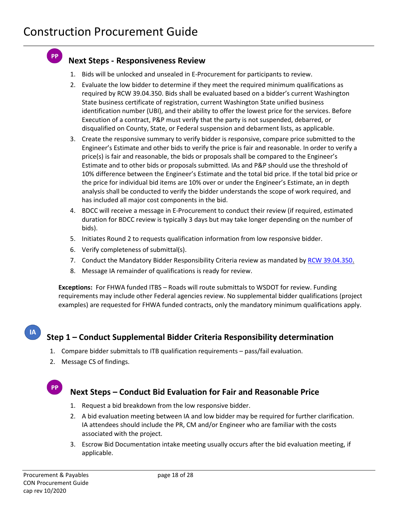**PP** 

# **Next Steps - Responsiveness Review**

- 1. Bids will be unlocked and unsealed in E-Procurement for participants to review.
- 2. Evaluate the low bidder to determine if they meet the required minimum qualifications as required by RCW 39.04.350. Bids shall be evaluated based on a bidder's current Washington State business certificate of registration, current Washington State unified business identification number (UBI), and their ability to offer the lowest price for the services. Before Execution of a contract, P&P must verify that the party is not suspended, debarred, or disqualified on County, State, or Federal suspension and debarment lists, as applicable.
- 3. Create the responsive summary to verify bidder is responsive, compare price submitted to the Engineer's Estimate and other bids to verify the price is fair and reasonable. In order to verify a price(s) is fair and reasonable, the bids or proposals shall be compared to the Engineer's Estimate and to other bids or proposals submitted. IAs and P&P should use the threshold of 10% difference between the Engineer's Estimate and the total bid price. If the total bid price or the price for individual bid items are 10% over or under the Engineer's Estimate, an in depth analysis shall be conducted to verify the bidder understands the scope of work required, and has included all major cost components in the bid.
- 4. BDCC will receive a message in E-Procurement to conduct their review (if required, estimated duration for BDCC review is typically 3 days but may take longer depending on the number of bids).
- 5. Initiates Round 2 to requests qualification information from low responsive bidder.
- 6. Verify completeness of submittal(s).
- 7. Conduct the Mandatory Bidder Responsibility Criteria review as mandated b[y RCW 39.04.350.](https://app.leg.wa.gov/RCW/default.aspx?cite=39.04.350)
- 8. Message IA remainder of qualifications is ready for review.

**Exceptions:** For FHWA funded ITBS – Roads will route submittals to WSDOT for review. Funding requirements may include other Federal agencies review. No supplemental bidder qualifications (project examples) are requested for FHWA funded contracts, only the mandatory minimum qualifications apply.

# **Step 1 – Conduct Supplemental Bidder Criteria Responsibility determination**

- 1. Compare bidder submittals to ITB qualification requirements pass/fail evaluation.
- 2. Message CS of findings.

### **PP**

**IA** 

# **Next Steps – Conduct Bid Evaluation for Fair and Reasonable Price**

- 1. Request a bid breakdown from the low responsive bidder.
- 2. A bid evaluation meeting between IA and low bidder may be required for further clarification. IA attendees should include the PR, CM and/or Engineer who are familiar with the costs associated with the project.
- 3. Escrow Bid Documentation intake meeting usually occurs after the bid evaluation meeting, if applicable.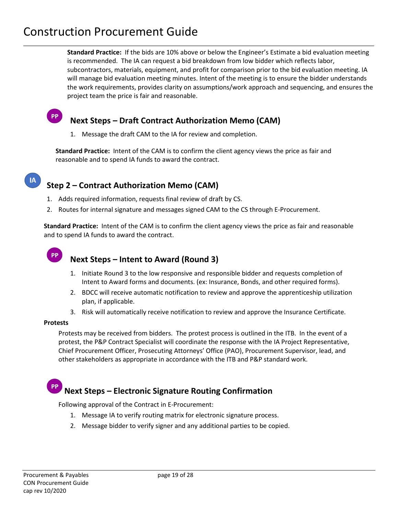**Standard Practice:** If the bids are 10% above or below the Engineer's Estimate a bid evaluation meeting is recommended. The IA can request a bid breakdown from low bidder which reflects labor, subcontractors, materials, equipment, and profit for comparison prior to the bid evaluation meeting. IA will manage bid evaluation meeting minutes. Intent of the meeting is to ensure the bidder understands the work requirements, provides clarity on assumptions/work approach and sequencing, and ensures the project team the price is fair and reasonable.

# **Next Steps – Draft Contract Authorization Memo (CAM)**

1. Message the draft CAM to the IA for review and completion.

**Standard Practice:** Intent of the CAM is to confirm the client agency views the price as fair and reasonable and to spend IA funds to award the contract.

# **Step 2 – Contract Authorization Memo (CAM)**

- 1. Adds required information, requests final review of draft by CS.
- 2. Routes for internal signature and messages signed CAM to the CS through E-Procurement.

**Standard Practice:** Intent of the CAM is to confirm the client agency views the price as fair and reasonable and to spend IA funds to award the contract.

# **PP**

**PP** 

# **Next Steps – Intent to Award (Round 3)**

- 1. Initiate Round 3 to the low responsive and responsible bidder and requests completion of Intent to Award forms and documents. (ex: Insurance, Bonds, and other required forms).
- 2. BDCC will receive automatic notification to review and approve the apprenticeship utilization plan, if applicable.
- 3. Risk will automatically receive notification to review and approve the Insurance Certificate.

### **Protests**

Protests may be received from bidders. The protest process is outlined in the ITB. In the event of a protest, the P&P Contract Specialist will coordinate the response with the IA Project Representative, Chief Procurement Officer, Prosecuting Attorneys' Office (PAO), Procurement Supervisor, lead, and other stakeholders as appropriate in accordance with the ITB and P&P standard work.

# **Next Steps – Electronic Signature Routing Confirmation**

Following approval of the Contract in E-Procurement:

- 1. Message IA to verify routing matrix for electronic signature process.
- 2. Message bidder to verify signer and any additional parties to be copied.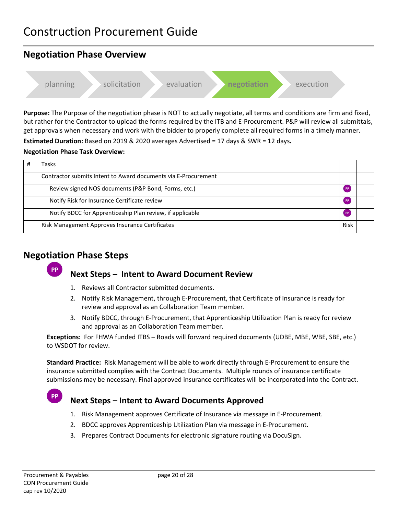# <span id="page-19-0"></span>**Negotiation Phase Overview**  planning solicitation evaluation **negotiation** execution

**Purpose:** The Purpose of the negotiation phase is NOT to actually negotiate, all terms and conditions are firm and fixed, but rather for the Contractor to upload the forms required by the ITB and E-Procurement. P&P will review all submittals, get approvals when necessary and work with the bidder to properly complete all required forms in a timely manner.

**Estimated Duration:** Based on 2019 & 2020 averages Advertised = 17 days & SWR = 12 days**.**

### **Negotiation Phase Task Overview:**

| Tasks                                                          |      |  |
|----------------------------------------------------------------|------|--|
| Contractor submits Intent to Award documents via E-Procurement |      |  |
| Review signed NOS documents (P&P Bond, Forms, etc.)            |      |  |
| Notify Risk for Insurance Certificate review                   |      |  |
| Notify BDCC for Apprenticeship Plan review, if applicable      |      |  |
| Risk Management Approves Insurance Certificates                | Risk |  |

# <span id="page-19-1"></span>**Negotiation Phase Steps**



# **Next Steps – Intent to Award Document Review**

- 1. Reviews all Contractor submitted documents.
- 2. Notify Risk Management, through E-Procurement, that Certificate of Insurance is ready for review and approval as an Collaboration Team member.
- 3. Notify BDCC, through E-Procurement, that Apprenticeship Utilization Plan is ready for review and approval as an Collaboration Team member.

**Exceptions:** For FHWA funded ITBS – Roads will forward required documents (UDBE, MBE, WBE, SBE, etc.) to WSDOT for review.

**Standard Practice:** Risk Management will be able to work directly through E-Procurement to ensure the insurance submitted complies with the Contract Documents. Multiple rounds of insurance certificate submissions may be necessary. Final approved insurance certificates will be incorporated into the Contract.

# **Next Steps – Intent to Award Documents Approved**

- 1. Risk Management approves Certificate of Insurance via message in E-Procurement.
- 2. BDCC approves Apprenticeship Utilization Plan via message in E-Procurement.
- 3. Prepares Contract Documents for electronic signature routing via DocuSign.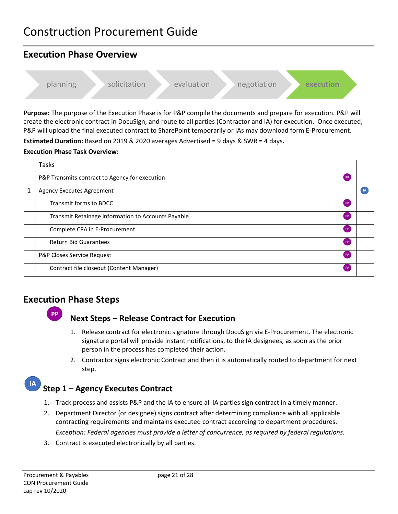# <span id="page-20-0"></span>**Execution Phase Overview**



**Purpose:** The purpose of the Execution Phase is for P&P compile the documents and prepare for execution. P&P will create the electronic contract in DocuSign, and route to all parties (Contractor and IA) for execution. Once executed, P&P will upload the final executed contract to SharePoint temporarily or IAs may download form E-Procurement.

**Estimated Duration:** Based on 2019 & 2020 averages Advertised = 9 days & SWR = 4 days**.**

### **Execution Phase Task Overview:**

|   | Tasks                                              |           |           |
|---|----------------------------------------------------|-----------|-----------|
|   | P&P Transmits contract to Agency for execution     | <b>PP</b> |           |
| 1 | <b>Agency Executes Agreement</b>                   |           | <b>IA</b> |
|   | Transmit forms to BDCC                             | PP        |           |
|   | Transmit Retainage information to Accounts Payable | PP        |           |
|   | Complete CPA in E-Procurement                      | PP        |           |
|   | <b>Return Bid Guarantees</b>                       | <b>PP</b> |           |
|   | P&P Closes Service Request                         | <b>PP</b> |           |
|   | Contract file closeout (Content Manager)           | PP        |           |

# <span id="page-20-1"></span>**Execution Phase Steps**



# **Next Steps – Release Contract for Execution**

- 1. Release contract for electronic signature through DocuSign via E-Procurement. The electronic signature portal will provide instant notifications, to the IA designees, as soon as the prior person in the process has completed their action.
- 2. Contractor signs electronic Contract and then it is automatically routed to department for next step.

# **Step 1 – Agency Executes Contract**

- 1. Track process and assists P&P and the IA to ensure all IA parties sign contract in a timely manner.
- 2. Department Director (or designee) signs contract after determining compliance with all applicable contracting requirements and maintains executed contract according to department procedures. *Exception: Federal agencies must provide a letter of concurrence, as required by federal regulations.*
- 3. Contract is executed electronically by all parties.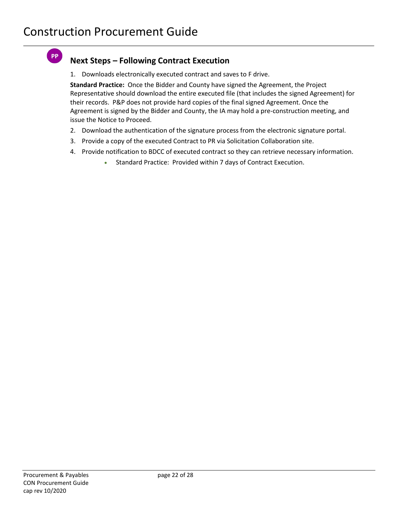**PP** 

# **Next Steps – Following Contract Execution**

1. Downloads electronically executed contract and saves to F drive.

**Standard Practice:** Once the Bidder and County have signed the Agreement, the Project Representative should download the entire executed file (that includes the signed Agreement) for their records. P&P does not provide hard copies of the final signed Agreement. Once the Agreement is signed by the Bidder and County, the IA may hold a pre-construction meeting, and issue the Notice to Proceed.

- 2. Download the authentication of the signature process from the electronic signature portal.
- 3. Provide a copy of the executed Contract to PR via Solicitation Collaboration site.
- 4. Provide notification to BDCC of executed contract so they can retrieve necessary information.
	- Standard Practice: Provided within 7 days of Contract Execution.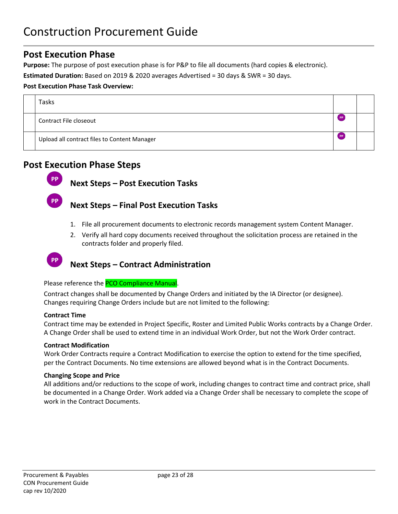# <span id="page-22-0"></span>**Post Execution Phase**

**Purpose:** The purpose of post execution phase is for P&P to file all documents (hard copies & electronic).

**Estimated Duration:** Based on 2019 & 2020 averages Advertised = 30 days & SWR = 30 days.

### **Post Execution Phase Task Overview:**

| Tasks                                        |                |  |
|----------------------------------------------|----------------|--|
| Contract File closeout                       | PP <sub></sub> |  |
| Upload all contract files to Content Manager | PP <sub></sub> |  |

# <span id="page-22-1"></span>**Post Execution Phase Steps**



**PP** 

**Next Steps – Post Execution Tasks**

# **Next Steps – Final Post Execution Tasks**

- 1. File all procurement documents to electronic records management system Content Manager.
- 2. Verify all hard copy documents received throughout the solicitation process are retained in the contracts folder and properly filed.

# **Next Steps – Contract Administration**

Please reference the PCO Compliance Manual.

Contract changes shall be documented by Change Orders and initiated by the IA Director (or designee). Changes requiring Change Orders include but are not limited to the following:

### **Contract Time**

Contract time may be extended in Project Specific, Roster and Limited Public Works contracts by a Change Order. A Change Order shall be used to extend time in an individual Work Order, but not the Work Order contract.

### **Contract Modification**

Work Order Contracts require a Contract Modification to exercise the option to extend for the time specified, per the Contract Documents. No time extensions are allowed beyond what is in the Contract Documents.

### **Changing Scope and Price**

All additions and/or reductions to the scope of work, including changes to contract time and contract price, shall be documented in a Change Order. Work added via a Change Order shall be necessary to complete the scope of work in the Contract Documents.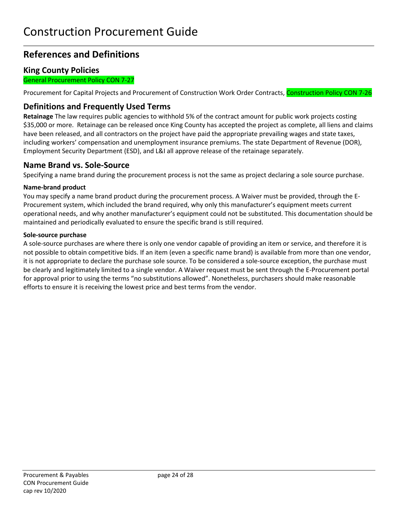# **References and Definitions**

### **King County Policies**

General Procurement Policy CON 7-27

Procurement for Capital Projects and Procurement of Construction Work Order Contracts, Construction Policy CON 7-26

# **Definitions and Frequently Used Terms**

**Retainage** The law requires public agencies to withhold 5% of the contract amount for public work projects costing \$35,000 or more. Retainage can be released once King County has accepted the project as complete, all liens and claims have been released, and all contractors on the project have paid the appropriate prevailing wages and state taxes, including workers' compensation and unemployment insurance premiums. The state Department of Revenue (DOR), Employment Security Department (ESD), and L&I all approve release of the retainage separately.

### **Name Brand vs. Sole-Source**

Specifying a name brand during the procurement process is not the same as project declaring a sole source purchase.

### **Name-brand product**

You may specify a name brand product during the procurement process. A Waiver must be provided, through the E-Procurement system, which included the brand required, why only this manufacturer's equipment meets current operational needs, and why another manufacturer's equipment could not be substituted. This documentation should be maintained and periodically evaluated to ensure the specific brand is still required.

### **Sole-source purchase**

A sole-source purchases are where there is only one vendor capable of providing an item or service, and therefore it is not possible to obtain competitive bids. If an item (even a specific name brand) is available from more than one vendor, it is not appropriate to declare the purchase sole source. To be considered a sole-source exception, the purchase must be clearly and legitimately limited to a single vendor. A Waiver request must be sent through the E-Procurement portal for approval prior to using the terms "no substitutions allowed". Nonetheless, purchasers should make reasonable efforts to ensure it is receiving the lowest price and best terms from the vendor.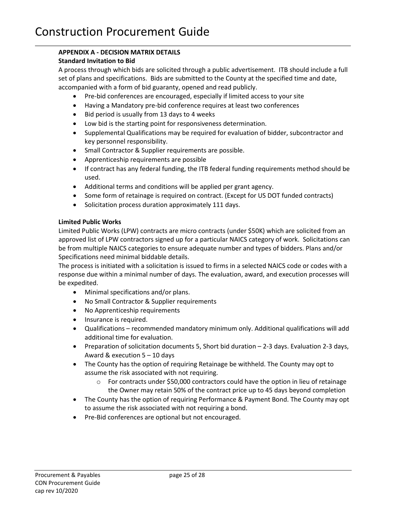# <span id="page-24-0"></span>**APPENDIX A - DECISION MATRIX DETAILS**

### <span id="page-24-1"></span>**Standard Invitation to Bid**

A process through which bids are solicited through a public advertisement. ITB should include a full set of plans and specifications. Bids are submitted to the County at the specified time and date, accompanied with a form of bid guaranty, opened and read publicly.

- Pre-bid conferences are encouraged, especially if limited access to your site
- Having a Mandatory pre-bid conference requires at least two conferences
- Bid period is usually from 13 days to 4 weeks
- Low bid is the starting point for responsiveness determination.
- Supplemental Qualifications may be required for evaluation of bidder, subcontractor and key personnel responsibility.
- Small Contractor & Supplier requirements are possible.
- Apprenticeship requirements are possible
- If contract has any federal funding, the ITB federal funding requirements method should be used.
- Additional terms and conditions will be applied per grant agency.
- Some form of retainage is required on contract. (Except for US DOT funded contracts)
- Solicitation process duration approximately 111 days.

### <span id="page-24-2"></span>**Limited Public Works**

Limited Public Works (LPW) contracts are micro contracts (under \$50K) which are solicited from an approved list of LPW contractors signed up for a particular NAICS category of work. Solicitations can be from multiple NAICS categories to ensure adequate number and types of bidders. Plans and/or Specifications need minimal biddable details.

The process is initiated with a solicitation is issued to firms in a selected NAICS code or codes with a response due within a minimal number of days. The evaluation, award, and execution processes will be expedited.

- Minimal specifications and/or plans.
- No Small Contractor & Supplier requirements
- No Apprenticeship requirements
- Insurance is required.
- Qualifications recommended mandatory minimum only. Additional qualifications will add additional time for evaluation.
- Preparation of solicitation documents 5, Short bid duration 2-3 days. Evaluation 2-3 days, Award & execution 5 – 10 days
- The County has the option of requiring Retainage be withheld. The County may opt to assume the risk associated with not requiring.
	- $\circ$  For contracts under \$50,000 contractors could have the option in lieu of retainage the Owner may retain 50% of the contract price up to 45 days beyond completion
- The County has the option of requiring Performance & Payment Bond. The County may opt to assume the risk associated with not requiring a bond.
- Pre-Bid conferences are optional but not encouraged.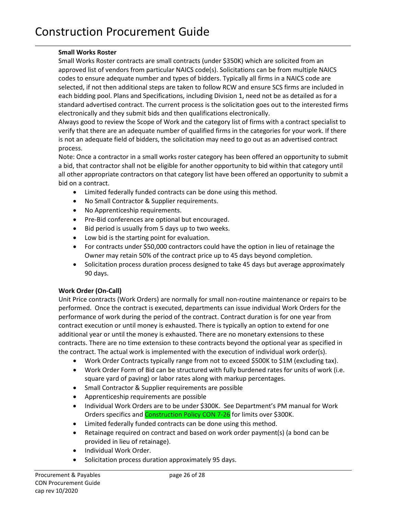### <span id="page-25-0"></span>**Small Works Roster**

Small Works Roster contracts are small contracts (under \$350K) which are solicited from an approved list of vendors from particular NAICS code(s). Solicitations can be from multiple NAICS codes to ensure adequate number and types of bidders. Typically all firms in a NAICS code are selected, if not then additional steps are taken to follow RCW and ensure SCS firms are included in each bidding pool. Plans and Specifications, including Division 1, need not be as detailed as for a standard advertised contract. The current process is the solicitation goes out to the interested firms electronically and they submit bids and then qualifications electronically.

Always good to review the Scope of Work and the category list of firms with a contract specialist to verify that there are an adequate number of qualified firms in the categories for your work. If there is not an adequate field of bidders, the solicitation may need to go out as an advertised contract process.

Note: Once a contractor in a small works roster category has been offered an opportunity to submit a bid, that contractor shall not be eligible for another opportunity to bid within that category until all other appropriate contractors on that category list have been offered an opportunity to submit a bid on a contract.

- Limited federally funded contracts can be done using this method.
- No Small Contractor & Supplier requirements.
- No Apprenticeship requirements.
- Pre-Bid conferences are optional but encouraged.
- Bid period is usually from 5 days up to two weeks.
- Low bid is the starting point for evaluation.
- For contracts under \$50,000 contractors could have the option in lieu of retainage the Owner may retain 50% of the contract price up to 45 days beyond completion.
- Solicitation process duration process designed to take 45 days but average approximately 90 days.

### <span id="page-25-1"></span>**Work Order (On-Call)**

Unit Price contracts (Work Orders) are normally for small non-routine maintenance or repairs to be performed. Once the contract is executed, departments can issue individual Work Orders for the performance of work during the period of the contract. Contract duration is for one year from contract execution or until money is exhausted. There is typically an option to extend for one additional year or until the money is exhausted. There are no monetary extensions to these contracts. There are no time extension to these contracts beyond the optional year as specified in the contract. The actual work is implemented with the execution of individual work order(s).

- Work Order Contracts typically range from not to exceed \$500K to \$1M (excluding tax).
- Work Order Form of Bid can be structured with fully burdened rates for units of work (i.e. square yard of paving) or labor rates along with markup percentages.
- Small Contractor & Supplier requirements are possible
- Apprenticeship requirements are possible
- Individual Work Orders are to be under \$300K. See Department's PM manual for Work Orders specifics and **Construction Policy CON 7-26** for limits over \$300K.
- Limited federally funded contracts can be done using this method.
- Retainage required on contract and based on work order payment(s) (a bond can be provided in lieu of retainage).
- Individual Work Order.
- Solicitation process duration approximately 95 days.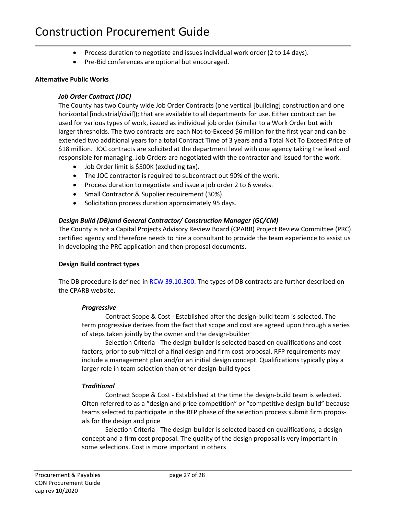- Process duration to negotiate and issues individual work order (2 to 14 days).
- Pre-Bid conferences are optional but encouraged.

#### <span id="page-26-0"></span>**Alternative Public Works**

#### *Job Order Contract (JOC)*

The County has two County wide Job Order Contracts (one vertical [building] construction and one horizontal [industrial/civil]); that are available to all departments for use. Either contract can be used for various types of work, issued as individual job order (similar to a Work Order but with larger thresholds. The two contracts are each Not-to-Exceed \$6 million for the first year and can be extended two additional years for a total Contract Time of 3 years and a Total Not To Exceed Price of \$18 million. JOC contracts are solicited at the department level with one agency taking the lead and responsible for managing. Job Orders are negotiated with the contractor and issued for the work.

- Job Order limit is \$500K (excluding tax).
- The JOC contractor is required to subcontract out 90% of the work.
- Process duration to negotiate and issue a job order 2 to 6 weeks.
- Small Contractor & Supplier requirement (30%).
- Solicitation process duration approximately 95 days.

### <span id="page-26-1"></span>*Design Build (DB)and General Contractor/ Construction Manager (GC/CM)*

The County is not a Capital Projects Advisory Review Board (CPARB) Project Review Committee (PRC) certified agency and therefore needs to hire a consultant to provide the team experience to assist us in developing the PRC application and then proposal documents.

#### **Design Build contract types**

The DB procedure is defined in [RCW 39.10.300.](https://apps.leg.wa.gov/rCW/default.aspx?cite=39.10.300) The types of DB contracts are further described on the CPARB website.

#### *Progressive*

Contract Scope & Cost - Established after the design-build team is selected. The term progressive derives from the fact that scope and cost are agreed upon through a series of steps taken jointly by the owner and the design-builder

Selection Criteria - The design-builder is selected based on qualifications and cost factors, prior to submittal of a final design and firm cost proposal. RFP requirements may include a management plan and/or an initial design concept. Qualifications typically play a larger role in team selection than other design-build types

#### *Traditional*

Contract Scope & Cost - Established at the time the design-build team is selected. Often referred to as a "design and price competition" or "competitive design-build" because teams selected to participate in the RFP phase of the selection process submit firm proposals for the design and price

Selection Criteria - The design-builder is selected based on qualifications, a design concept and a firm cost proposal. The quality of the design proposal is very important in some selections. Cost is more important in others